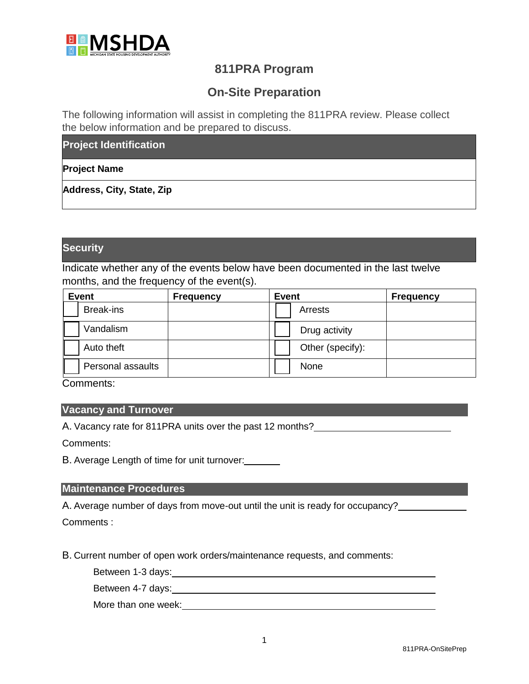

## **811PRA Program**

# **On-Site Preparation**

The following information will assist in completing the 811PRA review. Please collect the below information and be prepared to discuss.

**Project Identification**

## **Project Name**

**Address, City, State, Zip**

## **Security**

Indicate whether any of the events below have been documented in the last twelve months, and the frequency of the event(s).

| <b>Event</b> |                   | <b>Frequency</b> | <b>Event</b><br><b>Frequency</b> |
|--------------|-------------------|------------------|----------------------------------|
|              | <b>Break-ins</b>  |                  | Arrests                          |
|              | Vandalism         |                  | Drug activity                    |
|              | Auto theft        |                  | Other (specify):                 |
|              | Personal assaults |                  | None                             |

Comments:

#### **Vacancy and Turnover**

A. Vacancy rate for 811PRA units over the past 12 months?

Comments:

B. Average Length of time for unit turnover:

#### **Maintenance Procedures**

A. Average number of days from move-out until the unit is ready for occupancy? Comments :

B. Current number of open work orders/maintenance requests, and comments:

Between 1-3 days:

Between 4-7 days: Manual Assembly and the settlement of the settlement of the settlement of the settlement of the settlement of the settlement of the settlement of the settlement of the settlement of the settlement of the

More than one week:<br>
<u>More than</u> one week: